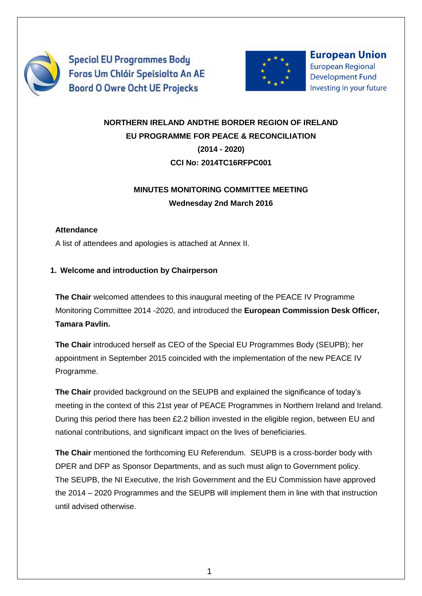

**Special EU Programmes Body** Foras Um Chláir Speisialta An AE **Boord O Owre Ocht UE Projecks** 



**European Union European Regional Development Fund** Investing in your future

# **NORTHERN IRELAND ANDTHE BORDER REGION OF IRELAND EU PROGRAMME FOR PEACE & RECONCILIATION (2014 - 2020) CCI No: 2014TC16RFPC001**

# **MINUTES MONITORING COMMITTEE MEETING Wednesday 2nd March 2016**

## **Attendance**

A list of attendees and apologies is attached at Annex II.

## **1. Welcome and introduction by Chairperson**

**The Chair** welcomed attendees to this inaugural meeting of the PEACE IV Programme Monitoring Committee 2014 -2020, and introduced the **European Commission Desk Officer, Tamara Pavlin.**

**The Chair** introduced herself as CEO of the Special EU Programmes Body (SEUPB); her appointment in September 2015 coincided with the implementation of the new PEACE IV Programme.

**The Chair** provided background on the SEUPB and explained the significance of today's meeting in the context of this 21st year of PEACE Programmes in Northern Ireland and Ireland. During this period there has been £2.2 billion invested in the eligible region, between EU and national contributions, and significant impact on the lives of beneficiaries.

**The Chair** mentioned the forthcoming EU Referendum. SEUPB is a cross-border body with DPER and DFP as Sponsor Departments, and as such must align to Government policy. The SEUPB, the NI Executive, the Irish Government and the EU Commission have approved the 2014 – 2020 Programmes and the SEUPB will implement them in line with that instruction until advised otherwise.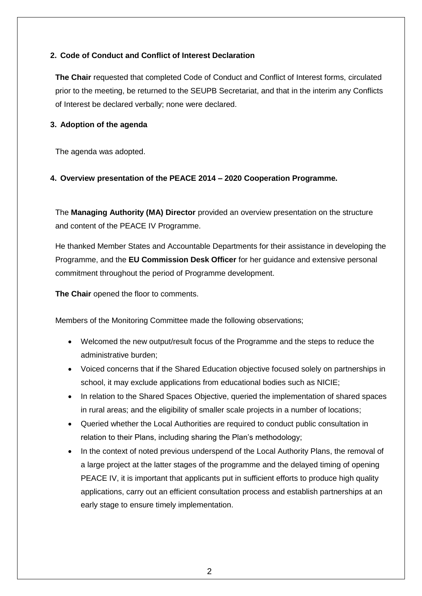## **2. Code of Conduct and Conflict of Interest Declaration**

**The Chair** requested that completed Code of Conduct and Conflict of Interest forms, circulated prior to the meeting, be returned to the SEUPB Secretariat, and that in the interim any Conflicts of Interest be declared verbally; none were declared.

#### **3. Adoption of the agenda**

The agenda was adopted.

#### **4. Overview presentation of the PEACE 2014 – 2020 Cooperation Programme.**

The **Managing Authority (MA) Director** provided an overview presentation on the structure and content of the PEACE IV Programme.

He thanked Member States and Accountable Departments for their assistance in developing the Programme, and the **EU Commission Desk Officer** for her guidance and extensive personal commitment throughout the period of Programme development.

**The Chair** opened the floor to comments.

Members of the Monitoring Committee made the following observations;

- Welcomed the new output/result focus of the Programme and the steps to reduce the administrative burden;
- Voiced concerns that if the Shared Education objective focused solely on partnerships in school, it may exclude applications from educational bodies such as NICIE;
- In relation to the Shared Spaces Objective, queried the implementation of shared spaces in rural areas; and the eligibility of smaller scale projects in a number of locations;
- Queried whether the Local Authorities are required to conduct public consultation in relation to their Plans, including sharing the Plan's methodology;
- In the context of noted previous underspend of the Local Authority Plans, the removal of a large project at the latter stages of the programme and the delayed timing of opening PEACE IV, it is important that applicants put in sufficient efforts to produce high quality applications, carry out an efficient consultation process and establish partnerships at an early stage to ensure timely implementation.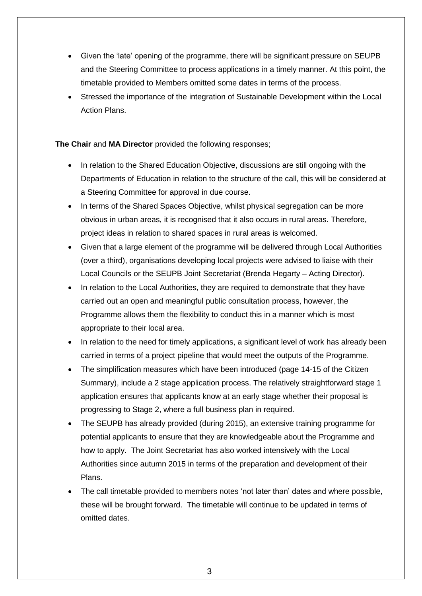- Given the 'late' opening of the programme, there will be significant pressure on SEUPB and the Steering Committee to process applications in a timely manner. At this point, the timetable provided to Members omitted some dates in terms of the process.
- Stressed the importance of the integration of Sustainable Development within the Local Action Plans.

**The Chair** and **MA Director** provided the following responses;

- In relation to the Shared Education Objective, discussions are still ongoing with the Departments of Education in relation to the structure of the call, this will be considered at a Steering Committee for approval in due course.
- In terms of the Shared Spaces Objective, whilst physical segregation can be more obvious in urban areas, it is recognised that it also occurs in rural areas. Therefore, project ideas in relation to shared spaces in rural areas is welcomed.
- Given that a large element of the programme will be delivered through Local Authorities (over a third), organisations developing local projects were advised to liaise with their Local Councils or the SEUPB Joint Secretariat (Brenda Hegarty – Acting Director).
- In relation to the Local Authorities, they are required to demonstrate that they have carried out an open and meaningful public consultation process, however, the Programme allows them the flexibility to conduct this in a manner which is most appropriate to their local area.
- In relation to the need for timely applications, a significant level of work has already been carried in terms of a project pipeline that would meet the outputs of the Programme.
- The simplification measures which have been introduced (page 14-15 of the Citizen Summary), include a 2 stage application process. The relatively straightforward stage 1 application ensures that applicants know at an early stage whether their proposal is progressing to Stage 2, where a full business plan in required.
- The SEUPB has already provided (during 2015), an extensive training programme for potential applicants to ensure that they are knowledgeable about the Programme and how to apply. The Joint Secretariat has also worked intensively with the Local Authorities since autumn 2015 in terms of the preparation and development of their Plans.
- The call timetable provided to members notes 'not later than' dates and where possible, these will be brought forward. The timetable will continue to be updated in terms of omitted dates.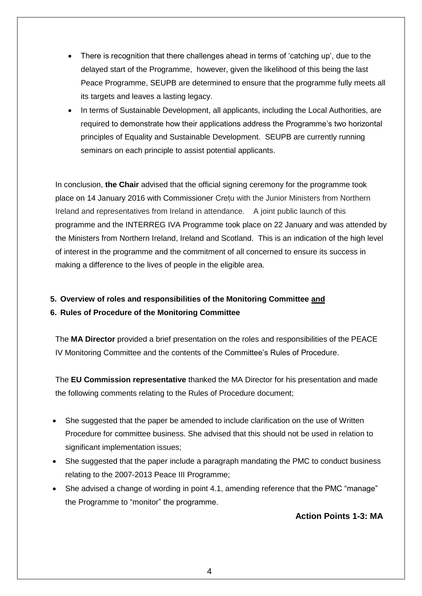- There is recognition that there challenges ahead in terms of 'catching up', due to the delayed start of the Programme, however, given the likelihood of this being the last Peace Programme, SEUPB are determined to ensure that the programme fully meets all its targets and leaves a lasting legacy.
- In terms of Sustainable Development, all applicants, including the Local Authorities, are required to demonstrate how their applications address the Programme's two horizontal principles of Equality and Sustainable Development. SEUPB are currently running seminars on each principle to assist potential applicants.

In conclusion, **the Chair** advised that the official signing ceremony for the programme took place on 14 January 2016 with Commissioner Crețu with the Junior Ministers from Northern Ireland and representatives from Ireland in attendance. A joint public launch of this programme and the INTERREG IVA Programme took place on 22 January and was attended by the Ministers from Northern Ireland, Ireland and Scotland. This is an indication of the high level of interest in the programme and the commitment of all concerned to ensure its success in making a difference to the lives of people in the eligible area.

**5. Overview of roles and responsibilities of the Monitoring Committee and**

#### **6. Rules of Procedure of the Monitoring Committee**

The **MA Director** provided a brief presentation on the roles and responsibilities of the PEACE IV Monitoring Committee and the contents of the Committee's Rules of Procedure.

The **EU Commission representative** thanked the MA Director for his presentation and made the following comments relating to the Rules of Procedure document;

- She suggested that the paper be amended to include clarification on the use of Written Procedure for committee business. She advised that this should not be used in relation to significant implementation issues;
- She suggested that the paper include a paragraph mandating the PMC to conduct business relating to the 2007-2013 Peace III Programme;
- She advised a change of wording in point 4.1, amending reference that the PMC "manage" the Programme to "monitor" the programme.

## **Action Points 1-3: MA**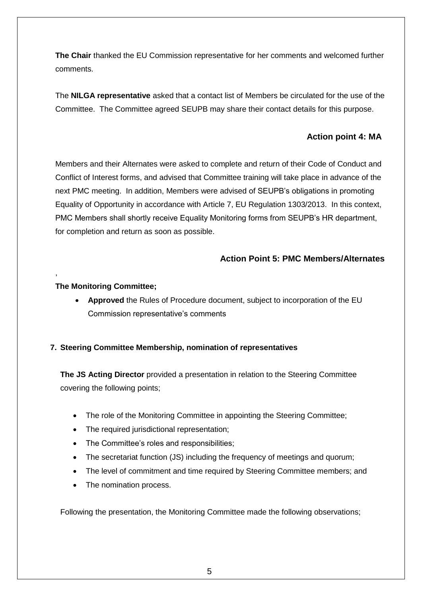**The Chair** thanked the EU Commission representative for her comments and welcomed further comments.

The **NILGA representative** asked that a contact list of Members be circulated for the use of the Committee. The Committee agreed SEUPB may share their contact details for this purpose.

## **Action point 4: MA**

Members and their Alternates were asked to complete and return of their Code of Conduct and Conflict of Interest forms, and advised that Committee training will take place in advance of the next PMC meeting. In addition, Members were advised of SEUPB's obligations in promoting Equality of Opportunity in accordance with Article 7, EU Regulation 1303/2013. In this context, PMC Members shall shortly receive Equality Monitoring forms from SEUPB's HR department, for completion and return as soon as possible.

## **Action Point 5: PMC Members/Alternates**

#### **The Monitoring Committee;**

,

 **Approved** the Rules of Procedure document, subject to incorporation of the EU Commission representative's comments

#### **7. Steering Committee Membership, nomination of representatives**

**The JS Acting Director** provided a presentation in relation to the Steering Committee covering the following points;

- The role of the Monitoring Committee in appointing the Steering Committee;
- The required jurisdictional representation;
- The Committee's roles and responsibilities:
- The secretariat function (JS) including the frequency of meetings and quorum;
- The level of commitment and time required by Steering Committee members; and
- The nomination process.

Following the presentation, the Monitoring Committee made the following observations;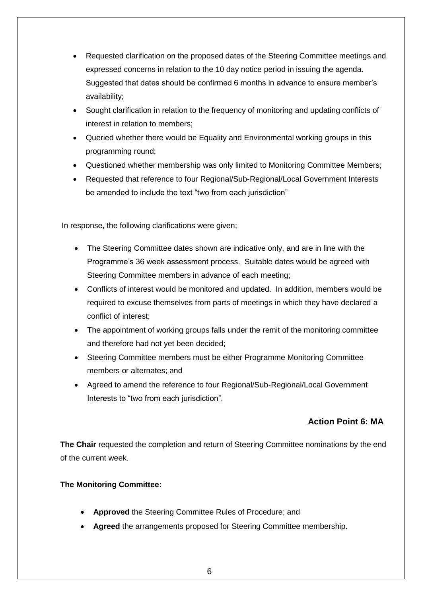- Requested clarification on the proposed dates of the Steering Committee meetings and expressed concerns in relation to the 10 day notice period in issuing the agenda. Suggested that dates should be confirmed 6 months in advance to ensure member's availability;
- Sought clarification in relation to the frequency of monitoring and updating conflicts of interest in relation to members;
- Queried whether there would be Equality and Environmental working groups in this programming round;
- Questioned whether membership was only limited to Monitoring Committee Members;
- Requested that reference to four Regional/Sub-Regional/Local Government Interests be amended to include the text "two from each jurisdiction"

In response, the following clarifications were given;

- The Steering Committee dates shown are indicative only, and are in line with the Programme's 36 week assessment process. Suitable dates would be agreed with Steering Committee members in advance of each meeting;
- Conflicts of interest would be monitored and updated. In addition, members would be required to excuse themselves from parts of meetings in which they have declared a conflict of interest;
- The appointment of working groups falls under the remit of the monitoring committee and therefore had not yet been decided;
- Steering Committee members must be either Programme Monitoring Committee members or alternates; and
- Agreed to amend the reference to four Regional/Sub-Regional/Local Government Interests to "two from each jurisdiction".

## **Action Point 6: MA**

**The Chair** requested the completion and return of Steering Committee nominations by the end of the current week.

#### **The Monitoring Committee:**

- **Approved** the Steering Committee Rules of Procedure; and
- **Agreed** the arrangements proposed for Steering Committee membership.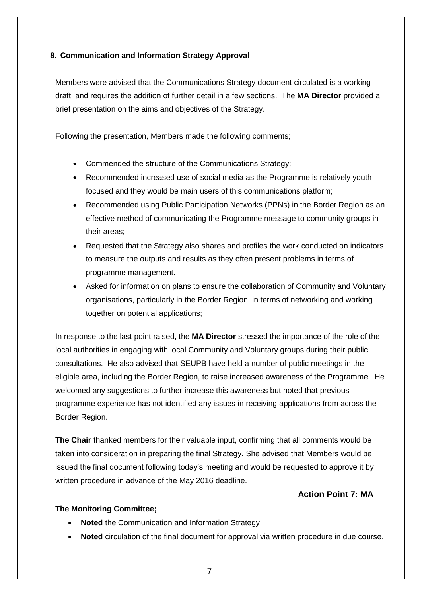## **8. Communication and Information Strategy Approval**

Members were advised that the Communications Strategy document circulated is a working draft, and requires the addition of further detail in a few sections. The **MA Director** provided a brief presentation on the aims and objectives of the Strategy.

Following the presentation, Members made the following comments;

- Commended the structure of the Communications Strategy;
- Recommended increased use of social media as the Programme is relatively youth focused and they would be main users of this communications platform;
- Recommended using Public Participation Networks (PPNs) in the Border Region as an effective method of communicating the Programme message to community groups in their areas;
- Requested that the Strategy also shares and profiles the work conducted on indicators to measure the outputs and results as they often present problems in terms of programme management.
- Asked for information on plans to ensure the collaboration of Community and Voluntary organisations, particularly in the Border Region, in terms of networking and working together on potential applications;

In response to the last point raised, the **MA Director** stressed the importance of the role of the local authorities in engaging with local Community and Voluntary groups during their public consultations. He also advised that SEUPB have held a number of public meetings in the eligible area, including the Border Region, to raise increased awareness of the Programme. He welcomed any suggestions to further increase this awareness but noted that previous programme experience has not identified any issues in receiving applications from across the Border Region.

**The Chair** thanked members for their valuable input, confirming that all comments would be taken into consideration in preparing the final Strategy. She advised that Members would be issued the final document following today's meeting and would be requested to approve it by written procedure in advance of the May 2016 deadline.

### **Action Point 7: MA**

#### **The Monitoring Committee;**

- **Noted** the Communication and Information Strategy.
- **Noted** circulation of the final document for approval via written procedure in due course.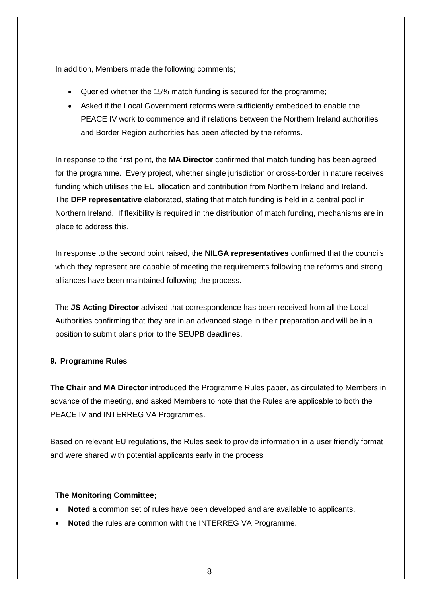In addition, Members made the following comments;

- Queried whether the 15% match funding is secured for the programme;
- Asked if the Local Government reforms were sufficiently embedded to enable the PEACE IV work to commence and if relations between the Northern Ireland authorities and Border Region authorities has been affected by the reforms.

In response to the first point, the **MA Director** confirmed that match funding has been agreed for the programme. Every project, whether single jurisdiction or cross-border in nature receives funding which utilises the EU allocation and contribution from Northern Ireland and Ireland. The **DFP representative** elaborated, stating that match funding is held in a central pool in Northern Ireland. If flexibility is required in the distribution of match funding, mechanisms are in place to address this.

In response to the second point raised, the **NILGA representatives** confirmed that the councils which they represent are capable of meeting the requirements following the reforms and strong alliances have been maintained following the process.

The **JS Acting Director** advised that correspondence has been received from all the Local Authorities confirming that they are in an advanced stage in their preparation and will be in a position to submit plans prior to the SEUPB deadlines.

#### **9. Programme Rules**

**The Chair** and **MA Director** introduced the Programme Rules paper, as circulated to Members in advance of the meeting, and asked Members to note that the Rules are applicable to both the PEACE IV and INTERREG VA Programmes.

Based on relevant EU regulations, the Rules seek to provide information in a user friendly format and were shared with potential applicants early in the process.

#### **The Monitoring Committee;**

- **Noted** a common set of rules have been developed and are available to applicants.
- **Noted** the rules are common with the INTERREG VA Programme.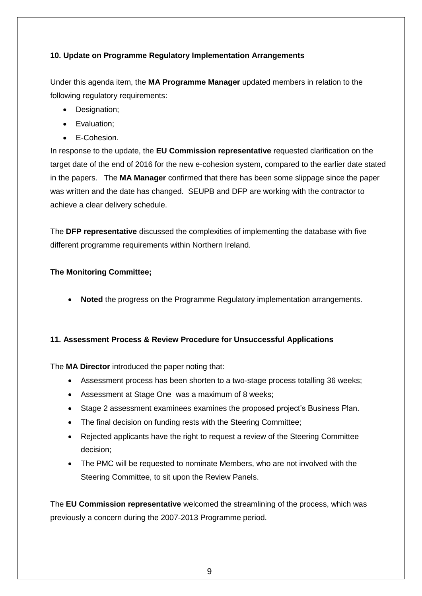## **10. Update on Programme Regulatory Implementation Arrangements**

Under this agenda item, the **MA Programme Manager** updated members in relation to the following regulatory requirements:

- Designation;
- Evaluation;
- E-Cohesion.

In response to the update, the **EU Commission representative** requested clarification on the target date of the end of 2016 for the new e-cohesion system, compared to the earlier date stated in the papers. The **MA Manager** confirmed that there has been some slippage since the paper was written and the date has changed. SEUPB and DFP are working with the contractor to achieve a clear delivery schedule.

The **DFP representative** discussed the complexities of implementing the database with five different programme requirements within Northern Ireland.

#### **The Monitoring Committee;**

**Noted** the progress on the Programme Regulatory implementation arrangements.

#### **11. Assessment Process & Review Procedure for Unsuccessful Applications**

The **MA Director** introduced the paper noting that:

- Assessment process has been shorten to a two-stage process totalling 36 weeks;
- Assessment at Stage One was a maximum of 8 weeks;
- Stage 2 assessment examinees examines the proposed project's Business Plan.
- The final decision on funding rests with the Steering Committee;
- Rejected applicants have the right to request a review of the Steering Committee decision;
- The PMC will be requested to nominate Members, who are not involved with the Steering Committee, to sit upon the Review Panels.

The **EU Commission representative** welcomed the streamlining of the process, which was previously a concern during the 2007-2013 Programme period.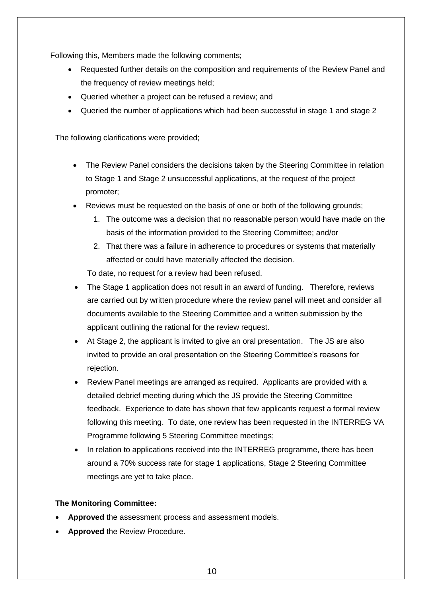Following this, Members made the following comments;

- Requested further details on the composition and requirements of the Review Panel and the frequency of review meetings held;
- Queried whether a project can be refused a review; and
- Queried the number of applications which had been successful in stage 1 and stage 2

The following clarifications were provided;

- The Review Panel considers the decisions taken by the Steering Committee in relation to Stage 1 and Stage 2 unsuccessful applications, at the request of the project promoter;
- Reviews must be requested on the basis of one or both of the following grounds;
	- 1. The outcome was a decision that no reasonable person would have made on the basis of the information provided to the Steering Committee; and/or
	- 2. That there was a failure in adherence to procedures or systems that materially affected or could have materially affected the decision.

To date, no request for a review had been refused.

- The Stage 1 application does not result in an award of funding. Therefore, reviews are carried out by written procedure where the review panel will meet and consider all documents available to the Steering Committee and a written submission by the applicant outlining the rational for the review request.
- At Stage 2, the applicant is invited to give an oral presentation. The JS are also invited to provide an oral presentation on the Steering Committee's reasons for rejection.
- Review Panel meetings are arranged as required. Applicants are provided with a detailed debrief meeting during which the JS provide the Steering Committee feedback. Experience to date has shown that few applicants request a formal review following this meeting. To date, one review has been requested in the INTERREG VA Programme following 5 Steering Committee meetings;
- In relation to applications received into the INTERREG programme, there has been around a 70% success rate for stage 1 applications, Stage 2 Steering Committee meetings are yet to take place.

#### **The Monitoring Committee:**

- **Approved** the assessment process and assessment models.
- **Approved** the Review Procedure.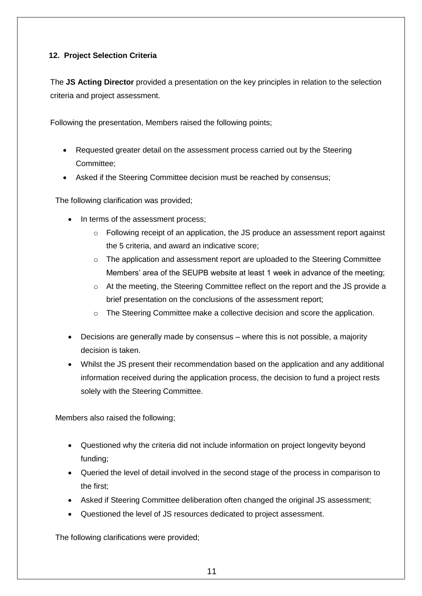## **12. Project Selection Criteria**

The **JS Acting Director** provided a presentation on the key principles in relation to the selection criteria and project assessment.

Following the presentation, Members raised the following points;

- Requested greater detail on the assessment process carried out by the Steering Committee;
- Asked if the Steering Committee decision must be reached by consensus;

The following clarification was provided;

- In terms of the assessment process;
	- $\circ$  Following receipt of an application, the JS produce an assessment report against the 5 criteria, and award an indicative score;
	- $\circ$  The application and assessment report are uploaded to the Steering Committee Members' area of the SEUPB website at least 1 week in advance of the meeting;
	- $\circ$  At the meeting, the Steering Committee reflect on the report and the JS provide a brief presentation on the conclusions of the assessment report;
	- o The Steering Committee make a collective decision and score the application.
- Decisions are generally made by consensus where this is not possible, a majority decision is taken.
- Whilst the JS present their recommendation based on the application and any additional information received during the application process, the decision to fund a project rests solely with the Steering Committee.

Members also raised the following;

- Questioned why the criteria did not include information on project longevity beyond funding;
- Queried the level of detail involved in the second stage of the process in comparison to the first;
- Asked if Steering Committee deliberation often changed the original JS assessment;
- Questioned the level of JS resources dedicated to project assessment.

The following clarifications were provided;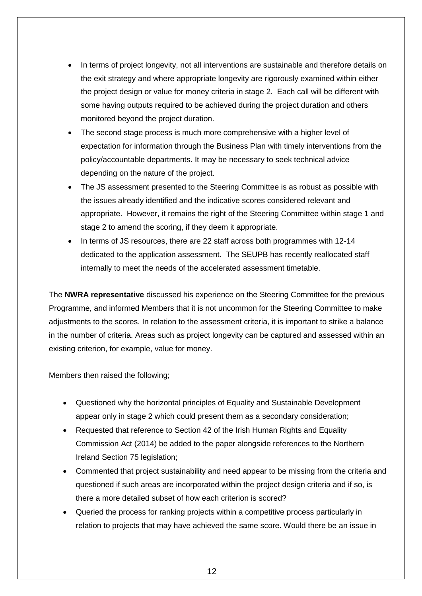- In terms of project longevity, not all interventions are sustainable and therefore details on the exit strategy and where appropriate longevity are rigorously examined within either the project design or value for money criteria in stage 2. Each call will be different with some having outputs required to be achieved during the project duration and others monitored beyond the project duration.
- The second stage process is much more comprehensive with a higher level of expectation for information through the Business Plan with timely interventions from the policy/accountable departments. It may be necessary to seek technical advice depending on the nature of the project.
- The JS assessment presented to the Steering Committee is as robust as possible with the issues already identified and the indicative scores considered relevant and appropriate. However, it remains the right of the Steering Committee within stage 1 and stage 2 to amend the scoring, if they deem it appropriate.
- In terms of JS resources, there are 22 staff across both programmes with 12-14 dedicated to the application assessment. The SEUPB has recently reallocated staff internally to meet the needs of the accelerated assessment timetable.

The **NWRA representative** discussed his experience on the Steering Committee for the previous Programme, and informed Members that it is not uncommon for the Steering Committee to make adjustments to the scores. In relation to the assessment criteria, it is important to strike a balance in the number of criteria. Areas such as project longevity can be captured and assessed within an existing criterion, for example, value for money.

Members then raised the following;

- Questioned why the horizontal principles of Equality and Sustainable Development appear only in stage 2 which could present them as a secondary consideration;
- Requested that reference to Section 42 of the Irish Human Rights and Equality Commission Act (2014) be added to the paper alongside references to the Northern Ireland Section 75 legislation;
- Commented that project sustainability and need appear to be missing from the criteria and questioned if such areas are incorporated within the project design criteria and if so, is there a more detailed subset of how each criterion is scored?
- Queried the process for ranking projects within a competitive process particularly in relation to projects that may have achieved the same score. Would there be an issue in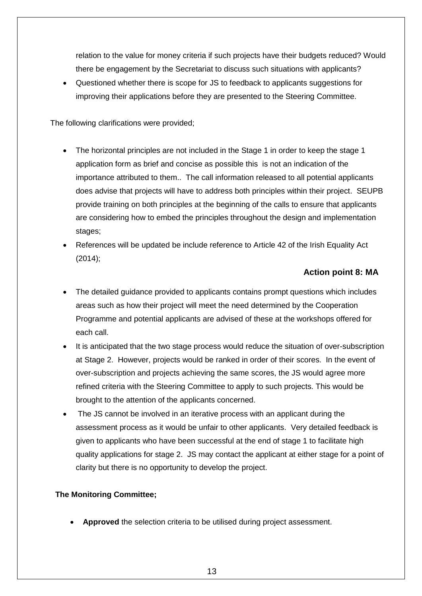relation to the value for money criteria if such projects have their budgets reduced? Would there be engagement by the Secretariat to discuss such situations with applicants?

 Questioned whether there is scope for JS to feedback to applicants suggestions for improving their applications before they are presented to the Steering Committee.

The following clarifications were provided;

- The horizontal principles are not included in the Stage 1 in order to keep the stage 1 application form as brief and concise as possible this is not an indication of the importance attributed to them.. The call information released to all potential applicants does advise that projects will have to address both principles within their project. SEUPB provide training on both principles at the beginning of the calls to ensure that applicants are considering how to embed the principles throughout the design and implementation stages;
- References will be updated be include reference to Article 42 of the Irish Equality Act (2014);

## **Action point 8: MA**

- The detailed guidance provided to applicants contains prompt questions which includes areas such as how their project will meet the need determined by the Cooperation Programme and potential applicants are advised of these at the workshops offered for each call.
- It is anticipated that the two stage process would reduce the situation of over-subscription at Stage 2. However, projects would be ranked in order of their scores. In the event of over-subscription and projects achieving the same scores, the JS would agree more refined criteria with the Steering Committee to apply to such projects. This would be brought to the attention of the applicants concerned.
- The JS cannot be involved in an iterative process with an applicant during the assessment process as it would be unfair to other applicants. Very detailed feedback is given to applicants who have been successful at the end of stage 1 to facilitate high quality applications for stage 2. JS may contact the applicant at either stage for a point of clarity but there is no opportunity to develop the project.

## **The Monitoring Committee;**

**Approved** the selection criteria to be utilised during project assessment.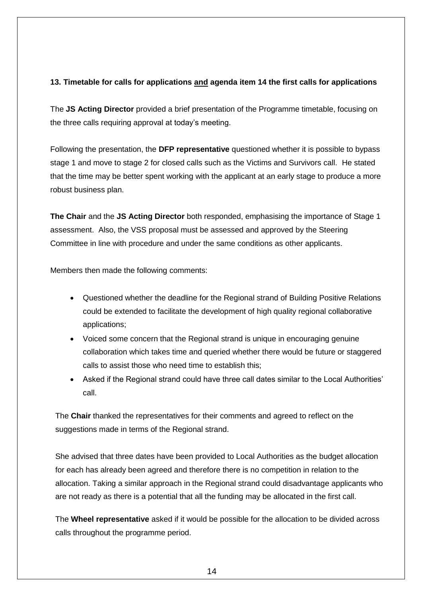## **13. Timetable for calls for applications and agenda item 14 the first calls for applications**

The **JS Acting Director** provided a brief presentation of the Programme timetable, focusing on the three calls requiring approval at today's meeting.

Following the presentation, the **DFP representative** questioned whether it is possible to bypass stage 1 and move to stage 2 for closed calls such as the Victims and Survivors call. He stated that the time may be better spent working with the applicant at an early stage to produce a more robust business plan.

**The Chair** and the **JS Acting Director** both responded, emphasising the importance of Stage 1 assessment. Also, the VSS proposal must be assessed and approved by the Steering Committee in line with procedure and under the same conditions as other applicants.

Members then made the following comments:

- Questioned whether the deadline for the Regional strand of Building Positive Relations could be extended to facilitate the development of high quality regional collaborative applications;
- Voiced some concern that the Regional strand is unique in encouraging genuine collaboration which takes time and queried whether there would be future or staggered calls to assist those who need time to establish this;
- Asked if the Regional strand could have three call dates similar to the Local Authorities' call.

The **Chair** thanked the representatives for their comments and agreed to reflect on the suggestions made in terms of the Regional strand.

She advised that three dates have been provided to Local Authorities as the budget allocation for each has already been agreed and therefore there is no competition in relation to the allocation. Taking a similar approach in the Regional strand could disadvantage applicants who are not ready as there is a potential that all the funding may be allocated in the first call.

The **Wheel representative** asked if it would be possible for the allocation to be divided across calls throughout the programme period.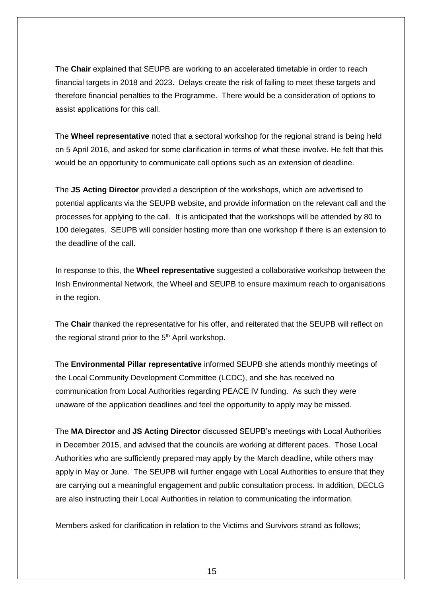The **Chair** explained that SEUPB are working to an accelerated timetable in order to reach financial targets in 2018 and 2023. Delays create the risk of failing to meet these targets and therefore financial penalties to the Programme. There would be a consideration of options to assist applications for this call.

The **Wheel representative** noted that a sectoral workshop for the regional strand is being held on 5 April 2016, and asked for some clarification in terms of what these involve. He felt that this would be an opportunity to communicate call options such as an extension of deadline.

The **JS Acting Director** provided a description of the workshops, which are advertised to potential applicants via the SEUPB website, and provide information on the relevant call and the processes for applying to the call. It is anticipated that the workshops will be attended by 80 to 100 delegates. SEUPB will consider hosting more than one workshop if there is an extension to the deadline of the call.

In response to this, the **Wheel representative** suggested a collaborative workshop between the Irish Environmental Network, the Wheel and SEUPB to ensure maximum reach to organisations in the region.

The **Chair** thanked the representative for his offer, and reiterated that the SEUPB will reflect on the regional strand prior to the  $5<sup>th</sup>$  April workshop.

The **Environmental Pillar representative** informed SEUPB she attends monthly meetings of the Local Community Development Committee (LCDC), and she has received no communication from Local Authorities regarding PEACE IV funding. As such they were unaware of the application deadlines and feel the opportunity to apply may be missed.

The **MA Director** and **JS Acting Director** discussed SEUPB's meetings with Local Authorities in December 2015, and advised that the councils are working at different paces. Those Local Authorities who are sufficiently prepared may apply by the March deadline, while others may apply in May or June. The SEUPB will further engage with Local Authorities to ensure that they are carrying out a meaningful engagement and public consultation process. In addition, DECLG are also instructing their Local Authorities in relation to communicating the information.

Members asked for clarification in relation to the Victims and Survivors strand as follows;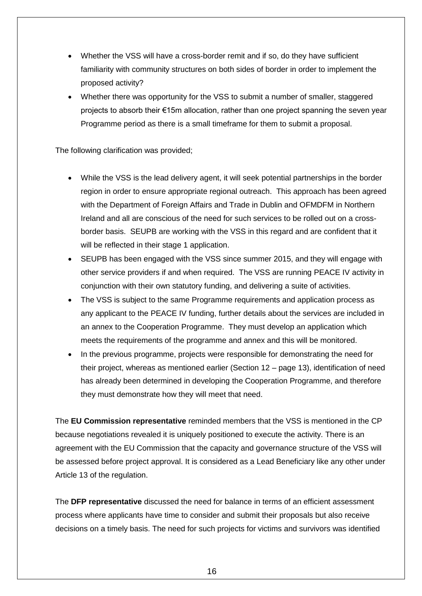- Whether the VSS will have a cross-border remit and if so, do they have sufficient familiarity with community structures on both sides of border in order to implement the proposed activity?
- Whether there was opportunity for the VSS to submit a number of smaller, staggered projects to absorb their €15m allocation, rather than one project spanning the seven year Programme period as there is a small timeframe for them to submit a proposal.

The following clarification was provided;

- While the VSS is the lead delivery agent, it will seek potential partnerships in the border region in order to ensure appropriate regional outreach. This approach has been agreed with the Department of Foreign Affairs and Trade in Dublin and OFMDFM in Northern Ireland and all are conscious of the need for such services to be rolled out on a crossborder basis. SEUPB are working with the VSS in this regard and are confident that it will be reflected in their stage 1 application.
- SEUPB has been engaged with the VSS since summer 2015, and they will engage with other service providers if and when required. The VSS are running PEACE IV activity in conjunction with their own statutory funding, and delivering a suite of activities.
- The VSS is subject to the same Programme requirements and application process as any applicant to the PEACE IV funding, further details about the services are included in an annex to the Cooperation Programme. They must develop an application which meets the requirements of the programme and annex and this will be monitored.
- In the previous programme, projects were responsible for demonstrating the need for their project, whereas as mentioned earlier (Section 12 – page 13), identification of need has already been determined in developing the Cooperation Programme, and therefore they must demonstrate how they will meet that need.

The **EU Commission representative** reminded members that the VSS is mentioned in the CP because negotiations revealed it is uniquely positioned to execute the activity. There is an agreement with the EU Commission that the capacity and governance structure of the VSS will be assessed before project approval. It is considered as a Lead Beneficiary like any other under Article 13 of the regulation.

The **DFP representative** discussed the need for balance in terms of an efficient assessment process where applicants have time to consider and submit their proposals but also receive decisions on a timely basis. The need for such projects for victims and survivors was identified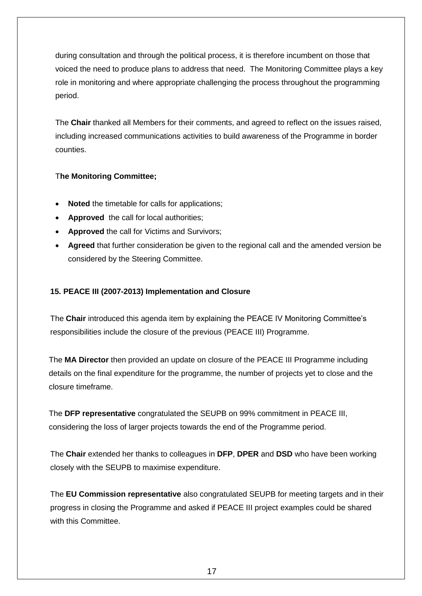during consultation and through the political process, it is therefore incumbent on those that voiced the need to produce plans to address that need. The Monitoring Committee plays a key role in monitoring and where appropriate challenging the process throughout the programming period.

The **Chair** thanked all Members for their comments, and agreed to reflect on the issues raised, including increased communications activities to build awareness of the Programme in border counties.

## T**he Monitoring Committee;**

- **Noted** the timetable for calls for applications;
- **Approved** the call for local authorities;
- **Approved** the call for Victims and Survivors;
- **Agreed** that further consideration be given to the regional call and the amended version be considered by the Steering Committee.

## **15. PEACE III (2007-2013) Implementation and Closure**

The **Chair** introduced this agenda item by explaining the PEACE IV Monitoring Committee's responsibilities include the closure of the previous (PEACE III) Programme.

The **MA Director** then provided an update on closure of the PEACE III Programme including details on the final expenditure for the programme, the number of projects yet to close and the closure timeframe.

The **DFP representative** congratulated the SEUPB on 99% commitment in PEACE III, considering the loss of larger projects towards the end of the Programme period.

The **Chair** extended her thanks to colleagues in **DFP**, **DPER** and **DSD** who have been working closely with the SEUPB to maximise expenditure.

The **EU Commission representative** also congratulated SEUPB for meeting targets and in their progress in closing the Programme and asked if PEACE III project examples could be shared with this Committee.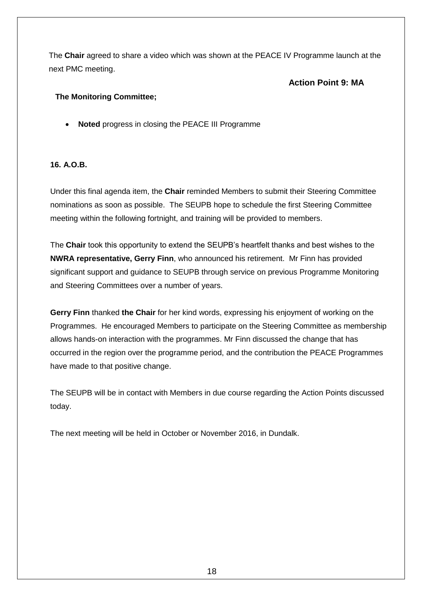The **Chair** agreed to share a video which was shown at the PEACE IV Programme launch at the next PMC meeting.

## **Action Point 9: MA**

### **The Monitoring Committee;**

**Noted** progress in closing the PEACE III Programme

#### **16. A.O.B.**

Under this final agenda item, the **Chair** reminded Members to submit their Steering Committee nominations as soon as possible. The SEUPB hope to schedule the first Steering Committee meeting within the following fortnight, and training will be provided to members.

The **Chair** took this opportunity to extend the SEUPB's heartfelt thanks and best wishes to the **NWRA representative, Gerry Finn**, who announced his retirement. Mr Finn has provided significant support and guidance to SEUPB through service on previous Programme Monitoring and Steering Committees over a number of years.

**Gerry Finn** thanked **the Chair** for her kind words, expressing his enjoyment of working on the Programmes. He encouraged Members to participate on the Steering Committee as membership allows hands-on interaction with the programmes. Mr Finn discussed the change that has occurred in the region over the programme period, and the contribution the PEACE Programmes have made to that positive change.

The SEUPB will be in contact with Members in due course regarding the Action Points discussed today.

The next meeting will be held in October or November 2016, in Dundalk.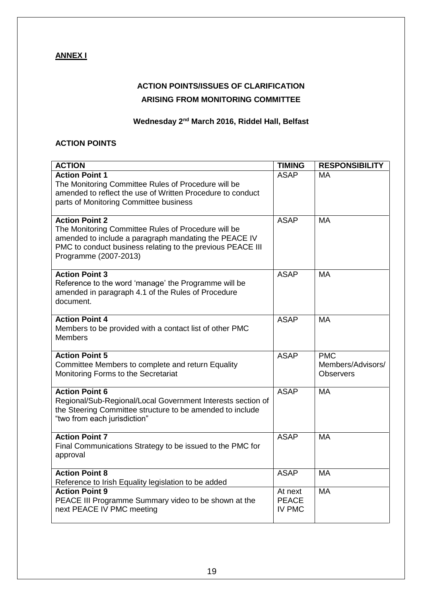## **ANNEX I**

## **ACTION POINTS/ISSUES OF CLARIFICATION ARISING FROM MONITORING COMMITTEE**

## **Wednesday 2nd March 2016, Riddel Hall, Belfast**

#### **ACTION POINTS**

| <b>ACTION</b>                                                                                                                                                                                                                | <b>TIMING</b>                            | <b>RESPONSIBILITY</b>                               |
|------------------------------------------------------------------------------------------------------------------------------------------------------------------------------------------------------------------------------|------------------------------------------|-----------------------------------------------------|
| <b>Action Point 1</b><br>The Monitoring Committee Rules of Procedure will be<br>amended to reflect the use of Written Procedure to conduct<br>parts of Monitoring Committee business                                         | <b>ASAP</b>                              | МA                                                  |
| <b>Action Point 2</b><br>The Monitoring Committee Rules of Procedure will be<br>amended to include a paragraph mandating the PEACE IV<br>PMC to conduct business relating to the previous PEACE III<br>Programme (2007-2013) | <b>ASAP</b>                              | <b>MA</b>                                           |
| <b>Action Point 3</b><br>Reference to the word 'manage' the Programme will be<br>amended in paragraph 4.1 of the Rules of Procedure<br>document.                                                                             | <b>ASAP</b>                              | <b>MA</b>                                           |
| <b>Action Point 4</b><br>Members to be provided with a contact list of other PMC<br><b>Members</b>                                                                                                                           | <b>ASAP</b>                              | <b>MA</b>                                           |
| <b>Action Point 5</b><br>Committee Members to complete and return Equality<br>Monitoring Forms to the Secretariat                                                                                                            | <b>ASAP</b>                              | <b>PMC</b><br>Members/Advisors/<br><b>Observers</b> |
| <b>Action Point 6</b><br>Regional/Sub-Regional/Local Government Interests section of<br>the Steering Committee structure to be amended to include<br>"two from each jurisdiction"                                            | <b>ASAP</b>                              | <b>MA</b>                                           |
| <b>Action Point 7</b><br>Final Communications Strategy to be issued to the PMC for<br>approval                                                                                                                               | <b>ASAP</b>                              | <b>MA</b>                                           |
| <b>Action Point 8</b><br>Reference to Irish Equality legislation to be added                                                                                                                                                 | <b>ASAP</b>                              | <b>MA</b>                                           |
| <b>Action Point 9</b><br>PEACE III Programme Summary video to be shown at the<br>next PEACE IV PMC meeting                                                                                                                   | At next<br><b>PEACE</b><br><b>IV PMC</b> | <b>MA</b>                                           |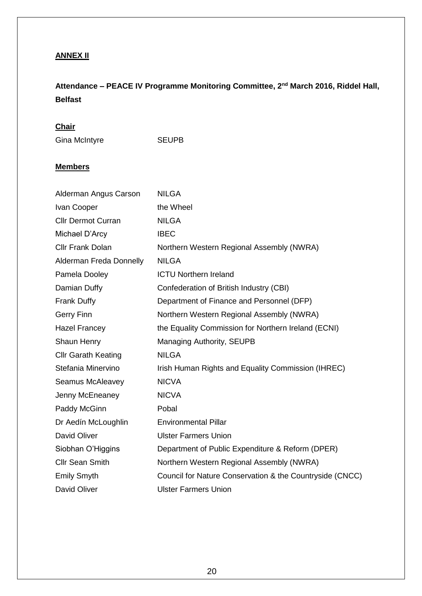## **ANNEX II**

# **Attendance – PEACE IV Programme Monitoring Committee, 2nd March 2016, Riddel Hall, Belfast**

## **Chair**

Gina McIntyre SEUPB

### **Members**

| Alderman Angus Carson      | <b>NILGA</b>                                             |
|----------------------------|----------------------------------------------------------|
| Ivan Cooper                | the Wheel                                                |
| <b>Cllr Dermot Curran</b>  | <b>NILGA</b>                                             |
| Michael D'Arcy             | <b>IBEC</b>                                              |
| <b>Cllr Frank Dolan</b>    | Northern Western Regional Assembly (NWRA)                |
| Alderman Freda Donnelly    | <b>NILGA</b>                                             |
| Pamela Dooley              | <b>ICTU Northern Ireland</b>                             |
| Damian Duffy               | Confederation of British Industry (CBI)                  |
| <b>Frank Duffy</b>         | Department of Finance and Personnel (DFP)                |
| <b>Gerry Finn</b>          | Northern Western Regional Assembly (NWRA)                |
| <b>Hazel Francey</b>       | the Equality Commission for Northern Ireland (ECNI)      |
| Shaun Henry                | Managing Authority, SEUPB                                |
| <b>Cllr Garath Keating</b> | <b>NILGA</b>                                             |
| Stefania Minervino         | Irish Human Rights and Equality Commission (IHREC)       |
| Seamus McAleavey           | <b>NICVA</b>                                             |
| Jenny McEneaney            | <b>NICVA</b>                                             |
| Paddy McGinn               | Pobal                                                    |
| Dr Aedín McLoughlin        | <b>Environmental Pillar</b>                              |
| David Oliver               | <b>Ulster Farmers Union</b>                              |
| Siobhan O'Higgins          | Department of Public Expenditure & Reform (DPER)         |
| <b>Cllr Sean Smith</b>     | Northern Western Regional Assembly (NWRA)                |
| <b>Emily Smyth</b>         | Council for Nature Conservation & the Countryside (CNCC) |
| <b>David Oliver</b>        | <b>Ulster Farmers Union</b>                              |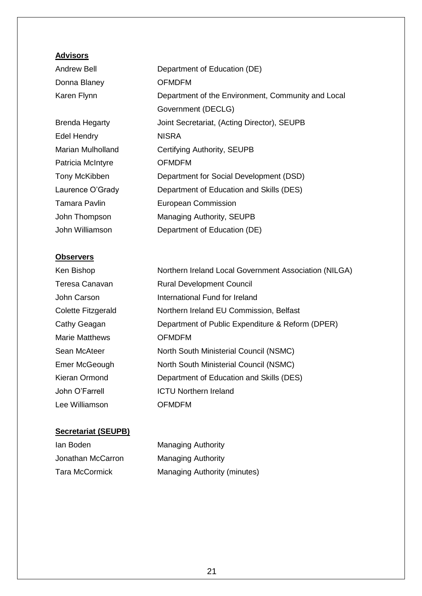## **Advisors**

| Andrew Bell           | Department of Education (DE)                       |
|-----------------------|----------------------------------------------------|
| Donna Blaney          | <b>OFMDFM</b>                                      |
| Karen Flynn           | Department of the Environment, Community and Local |
|                       | Government (DECLG)                                 |
| <b>Brenda Hegarty</b> | Joint Secretariat, (Acting Director), SEUPB        |
| <b>Edel Hendry</b>    | <b>NISRA</b>                                       |
| Marian Mulholland     | Certifying Authority, SEUPB                        |
| Patricia McIntyre     | <b>OFMDFM</b>                                      |
| Tony McKibben         | Department for Social Development (DSD)            |
| Laurence O'Grady      | Department of Education and Skills (DES)           |
| <b>Tamara Pavlin</b>  | <b>European Commission</b>                         |
| John Thompson         | Managing Authority, SEUPB                          |
| John Williamson       | Department of Education (DE)                       |
|                       |                                                    |

## **Observers**

| Ken Bishop            | Northern Ireland Local Government Association (NILGA) |
|-----------------------|-------------------------------------------------------|
| Teresa Canavan        | <b>Rural Development Council</b>                      |
| John Carson           | International Fund for Ireland                        |
| Colette Fitzgerald    | Northern Ireland EU Commission, Belfast               |
| Cathy Geagan          | Department of Public Expenditure & Reform (DPER)      |
| <b>Marie Matthews</b> | <b>OFMDFM</b>                                         |
| Sean McAteer          | North South Ministerial Council (NSMC)                |
| Emer McGeough         | North South Ministerial Council (NSMC)                |
| Kieran Ormond         | Department of Education and Skills (DES)              |
| John O'Farrell        | <b>ICTU Northern Ireland</b>                          |
| Lee Williamson        | <b>OFMDFM</b>                                         |
|                       |                                                       |

# **Secretariat (SEUPB)**

| lan Boden             | <b>Managing Authority</b>           |
|-----------------------|-------------------------------------|
| Jonathan McCarron     | <b>Managing Authority</b>           |
| <b>Tara McCormick</b> | <b>Managing Authority (minutes)</b> |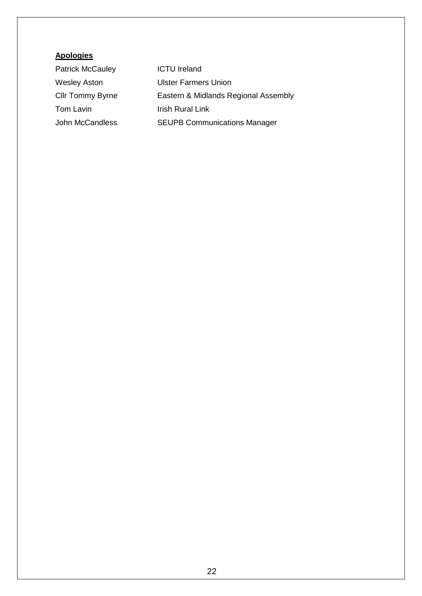## **Apologies**

| <b>Patrick McCauley</b> | <b>ICTU Ireland</b>                  |
|-------------------------|--------------------------------------|
| <b>Wesley Aston</b>     | <b>Ulster Farmers Union</b>          |
| <b>Cllr Tommy Byrne</b> | Eastern & Midlands Regional Assembly |
| Tom Lavin               | <b>Irish Rural Link</b>              |
| John McCandless         | <b>SEUPB Communications Manager</b>  |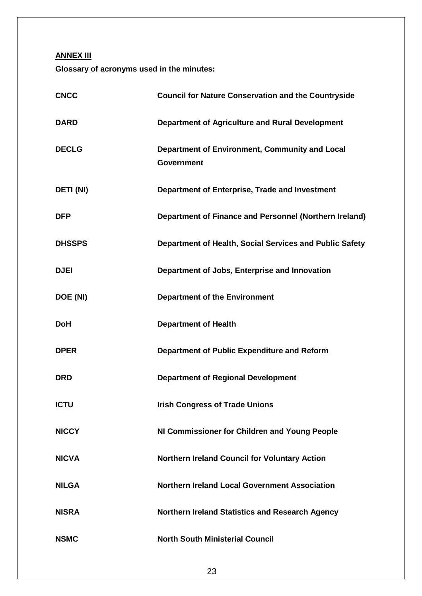**ANNEX III**

**Glossary of acronyms used in the minutes:**

| <b>CNCC</b>      | <b>Council for Nature Conservation and the Countryside</b>          |
|------------------|---------------------------------------------------------------------|
| <b>DARD</b>      | <b>Department of Agriculture and Rural Development</b>              |
| <b>DECLG</b>     | Department of Environment, Community and Local<br><b>Government</b> |
| <b>DETI (NI)</b> | Department of Enterprise, Trade and Investment                      |
| <b>DFP</b>       | Department of Finance and Personnel (Northern Ireland)              |
| <b>DHSSPS</b>    | Department of Health, Social Services and Public Safety             |
| <b>DJEI</b>      | Department of Jobs, Enterprise and Innovation                       |
| DOE (NI)         | <b>Department of the Environment</b>                                |
| <b>DoH</b>       | <b>Department of Health</b>                                         |
| <b>DPER</b>      | Department of Public Expenditure and Reform                         |
| <b>DRD</b>       | <b>Department of Regional Development</b>                           |
| <b>ICTU</b>      | <b>Irish Congress of Trade Unions</b>                               |
| <b>NICCY</b>     | NI Commissioner for Children and Young People                       |
| <b>NICVA</b>     | Northern Ireland Council for Voluntary Action                       |
| <b>NILGA</b>     | <b>Northern Ireland Local Government Association</b>                |
| <b>NISRA</b>     | <b>Northern Ireland Statistics and Research Agency</b>              |
| <b>NSMC</b>      | <b>North South Ministerial Council</b>                              |